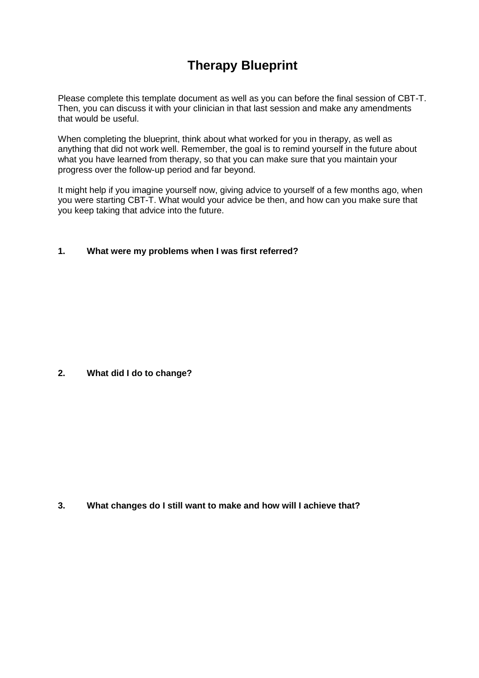## **Therapy Blueprint**

Please complete this template document as well as you can before the final session of CBT-T. Then, you can discuss it with your clinician in that last session and make any amendments that would be useful.

When completing the blueprint, think about what worked for you in therapy, as well as anything that did not work well. Remember, the goal is to remind yourself in the future about what you have learned from therapy, so that you can make sure that you maintain your progress over the follow-up period and far beyond.

It might help if you imagine yourself now, giving advice to yourself of a few months ago, when you were starting CBT-T. What would your advice be then, and how can you make sure that you keep taking that advice into the future.

## **1. What were my problems when I was first referred?**

**2. What did I do to change?**

**3. What changes do I still want to make and how will I achieve that?**